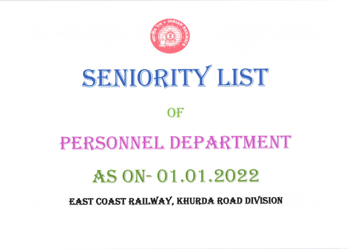

## SENIORITY LIST

## OF

# PERSONNEL DEPARTMENT

## AS ON-01.01.2022

### EAST COAST RAILWAY, KHURDA ROAD DIVISION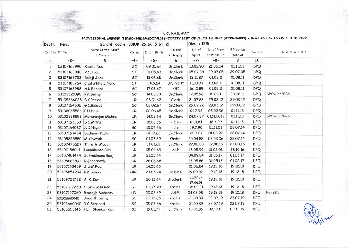|                | Deptt. : Pers.           | Sanctd. Cadre: 33(UR=26, SC=5, ST=2) | Divn. : KUR. |             |                            |                      |                            |                      |            |             |
|----------------|--------------------------|--------------------------------------|--------------|-------------|----------------------------|----------------------|----------------------------|----------------------|------------|-------------|
| Srl. No PF No  |                          | Name of the Staff<br>S/Sri/Smt.      | Comm         | Dt.of Birth | <b>Initial</b><br>Category | Dt. of<br>Apptt.     | Dt.of Prom<br>to Prese.Gr. | Effective<br>Date of | Source     | Remarks     |
| $-1-$          | $-2-$                    | $-3-$                                | $-4-$        | $-5-$       | $-6-$                      | $-7-$                | $-8-$                      | 9                    | 10         |             |
| $\mathbf{1}$   | 53107163990              | Kabita Das                           | SC           | 09.05.66    | Jr.Clerk                   | 13.02.90             | 21.05.04                   | 01.11.03             | <b>DPQ</b> |             |
| $\overline{c}$ | 53107163848              | R.C.Tudu                             | ST           | 01.05.63    | Jr.Clerk                   | 05.07.88             | 29.07.05                   | 29.07.05             | <b>DPQ</b> |             |
| 3              | 53107163733              | Balaji Jena.                         | SC           | 13.06.65    | Jr.Clerk                   | 12.11.87             | 01.08.11                   | 01.08.11             | <b>DPQ</b> |             |
| 4              | 53107182764              | Chaturbhuja Naik.                    | ST           | 24.5.64     | Jr. Typist                 | 11.10.90             | 01.08.11                   | 01.08.11             | <b>DPQ</b> |             |
| 5              | 53107163988              | A.K.Behera.                          | SC           | 17.02.67    | KSI                        | 16.10.89             | 01.08.11                   | 01.08.11             | <b>DPQ</b> |             |
| 6              | 53102521090 P.K.Sethy    |                                      | SC           | 14.03.73    | Jr.Clerk                   | 17.05.96             | 30.08.11                   | 30.08.11             | <b>DPQ</b> | SPO/Con/BBS |
| $\overline{7}$ | 53105666028 B.K.Parida   |                                      | UR           | 03.01.62    | Clerk                      | 21.07.83             | 29.03.12                   | 29.03.12             | <b>DPQ</b> |             |
| 8              | 53107164506 G.C.Biswas   |                                      | SC           | 02.02.67    | Sr.Clerk                   | 29.09.2k             | 29.03.12                   | 29.03.12             | <b>DPQ</b> |             |
| 9              | 53108045586 P.N.Dalai.   |                                      | UR           | 06.06.65    | Sr.Clerk                   | 01.7.92              | 05.02.96                   | 01.11.13             | <b>DPQ</b> |             |
| 10             |                          | 53102838898 Manoranjan Mishra        | UR           | 14.03.64    | Sr.Clerk                   | 24.07.87             | 01.11.2013                 | 01.11.13             | <b>DPQ</b> | SPO/Con/BBS |
| 11             | 53107163263 S.S.Mitra.   |                                      | UR           | 18.06.66    | - d o -                    | 01.3.84              | 18.7.99                    | 01.11.13             | <b>DPQ</b> |             |
| 12             | 53107164087              | A.C.Nayak                            | SC           | 15.04.66    | - d o -                    | 19.7.90              | 01.11.03                   | 28.07.14             | <b>DPQ</b> |             |
| 13             | 53107163484              | Sudheer Padhi                        | <b>UR</b>    | 01.12.63    | Jr.Clerk                   | 20.7.87              | 01.08.97                   | 28,07.14             | <b>DPQ</b> |             |
| 14             | 53105825880 M.K.Nayak    |                                      | SC           | 01.07.69    | Khalasi                    | 15.04.88             | 02.03.06                   | 28,07.14             | <b>DPQ</b> |             |
| 15             |                          | 53107475627 Trinath Muduli           | UR           | 31.01.62    | Jr.Clerk                   | 27.08.88             | 27.08.15                   | 27.08.15             | <b>DPQ</b> |             |
| 16             | 53107158014              | Laxmikanta Giri                      | UR           | 05.04.69    | <b>ALP</b>                 | 16.05.94             | 13.02.03                   | 28.10.16             | <b>DPQ</b> |             |
| 17             |                          | 53107401474 Satyabhama Ranjit        | UR           | 21.05.64    |                            | 04.09.84             | 01.05.17                   | 01.05.17             | <b>DPQ</b> |             |
| 18             | 53105663891              | R.Jagannath.                         | UR           | 26.06.68    |                            | 16.05.86             | 01.05.17                   | 01.05.17             | DPQ        |             |
| 19             | 53107163459 S.U.M.Rao.   |                                      | UR           | 14.05.66    |                            | 01.06.84             | 19.12.18                   | 19.12.18             | <b>DPQ</b> |             |
| 20             | 53105854294 R.K.Sahoo    |                                      | $\cdot$ OBC  | 23.05.74    | Tr.DDA                     | 09.09.97             | 19.12.18                   | 19.12.18             | <b>DPQ</b> |             |
| 21             | 53109721782 A. K. Kar    |                                      | UR           | 20.12.64    | Jr.Clerk                   | 01.07.89<br>17.06.91 | 19.12.18                   | 19.12.18             | <b>DPQ</b> |             |
| 22             |                          | 53107017250 S.Srinivasa Rao          | ST           | 01.07.70    | Khalasi                    | 06.09.91             | 19.12.18                   | 19.12.18             | <b>DPQ</b> |             |
| 23             |                          | 53107157060 Biswajit Mohanty         | UR           | 20.06.69    | ASM                        | 04.03.98             | 19.12.18                   | 19.12.18             | <b>DPQ</b> | RE/BBS      |
| 24             | 53105660040              | Jagdish Sethy                        | SC           | 22.12.65    | Khalasi                    | 21.10.89             | 23.07.19                   | 23.07.19             | <b>DPQ</b> |             |
| 25             | 53105660040 R.C.Senapati |                                      | SC           | 05.06.66    | Khalasi                    | 21.10.89             | 23.07.19                   | 23.07.19             | <b>DPQ</b> |             |
| 26             |                          | 53105655146 Hari Shankar Ram         | SC           | 19.01.77    | Jr.Clerk                   | 10.05.99             | 02.12.19                   | 02.12.19             | <b>DPQ</b> |             |

E.Co.RAILWAY